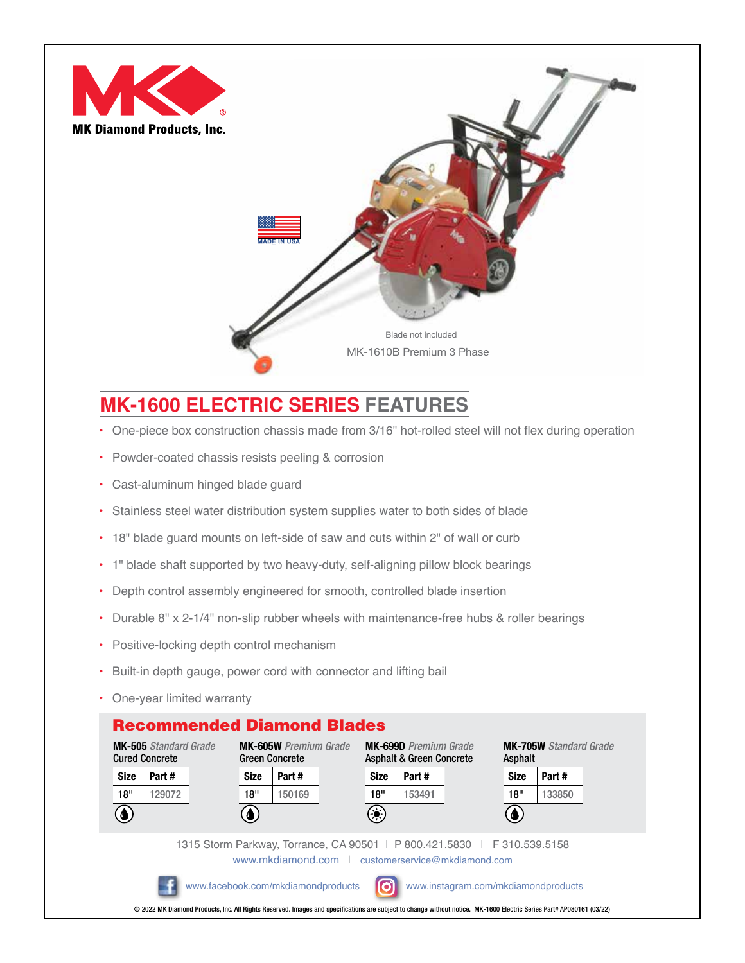



## **MK-1600 ELECTRIC SERIES FEATURES**

- One-piece box construction chassis made from 3/16" hot-rolled steel will not flex during operation
- Powder-coated chassis resists peeling & corrosion
- Cast-aluminum hinged blade guard
- Stainless steel water distribution system supplies water to both sides of blade
- 18" blade guard mounts on left-side of saw and cuts within 2" of wall or curb
- 1" blade shaft supported by two heavy-duty, self-aligning pillow block bearings
- Depth control assembly engineered for smooth, controlled blade insertion
- Durable 8" x 2-1/4" non-slip rubber wheels with maintenance-free hubs & roller bearings
- Positive-locking depth control mechanism
- Built-in depth gauge, power cord with connector and lifting bail
- One-year limited warranty

## Recommended Diamond Blades